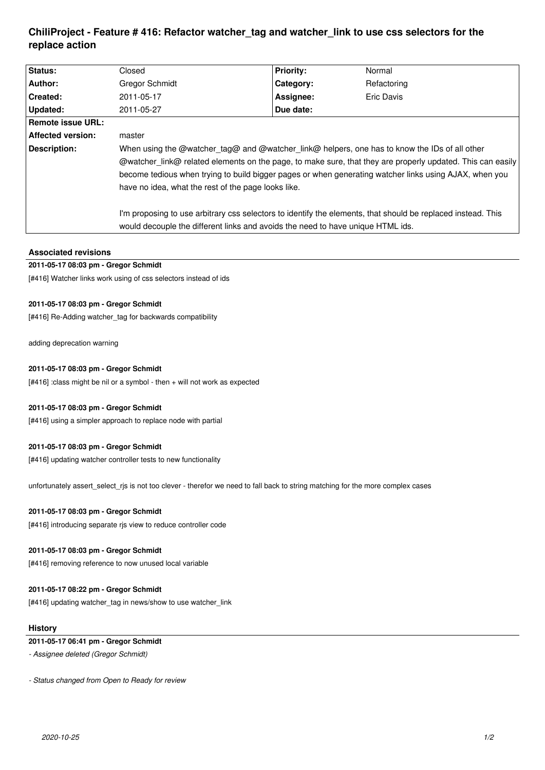# **ChiliProject - Feature # 416: Refactor watcher\_tag and watcher\_link to use css selectors for the replace action**

| <b>Status:</b>           | Closed                                                                                                       | <b>Priority:</b> | Normal      |
|--------------------------|--------------------------------------------------------------------------------------------------------------|------------------|-------------|
| Author:                  | <b>Gregor Schmidt</b>                                                                                        | Category:        | Refactoring |
| <b>Created:</b>          | 2011-05-17                                                                                                   | Assignee:        | Eric Davis  |
| Updated:                 | 2011-05-27                                                                                                   | Due date:        |             |
| <b>Remote issue URL:</b> |                                                                                                              |                  |             |
| <b>Affected version:</b> | master                                                                                                       |                  |             |
| Description:             | When using the @watcher tag@ and @watcher link@ helpers, one has to know the IDs of all other                |                  |             |
|                          | @watcher link@ related elements on the page, to make sure, that they are properly updated. This can easily   |                  |             |
|                          | become tedious when trying to build bigger pages or when generating watcher links using AJAX, when you       |                  |             |
|                          | have no idea, what the rest of the page looks like.                                                          |                  |             |
|                          | I'm proposing to use arbitrary css selectors to identify the elements, that should be replaced instead. This |                  |             |
|                          | would decouple the different links and avoids the need to have unique HTML ids.                              |                  |             |

## **Associated revisions**

# **2011-05-17 08:03 pm - Gregor Schmidt**

[#416] Watcher links work using of css selectors instead of ids

## **2011-05-17 08:03 pm - Gregor Schmidt**

[#416] Re-Adding watcher tag for backwards compatibility

adding deprecation warning

## **2011-05-17 08:03 pm - Gregor Schmidt**

[#416] :class might be nil or a symbol - then + will not work as expected

#### **2011-05-17 08:03 pm - Gregor Schmidt**

[#416] using a simpler approach to replace node with partial

#### **2011-05-17 08:03 pm - Gregor Schmidt**

[#416] updating watcher controller tests to new functionality

unfortunately assert\_select\_rjs is not too clever - therefor we need to fall back to string matching for the more complex cases

#### **2011-05-17 08:03 pm - Gregor Schmidt**

[#416] introducing separate rjs view to reduce controller code

#### **2011-05-17 08:03 pm - Gregor Schmidt**

[#416] removing reference to now unused local variable

#### **2011-05-17 08:22 pm - Gregor Schmidt**

[#416] updating watcher\_tag in news/show to use watcher\_link

### **History**

# **2011-05-17 06:41 pm - Gregor Schmidt**

*- Assignee deleted (Gregor Schmidt)*

*- Status changed from Open to Ready for review*